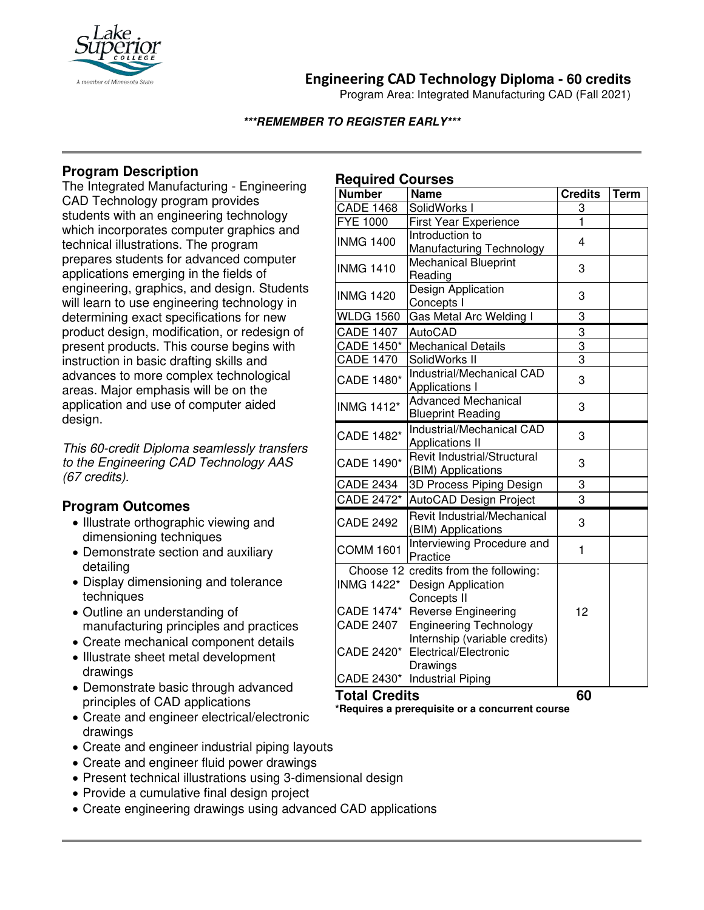

# **Engineering CAD Technology Diploma - 60 credits**

Program Area: Integrated Manufacturing CAD (Fall 2021)

### **\*\*\*REMEMBER TO REGISTER EARLY\*\*\***

# **Program Description**

The Integrated Manufacturing - Engineering CAD Technology program provides students with an engineering technology which incorporates computer graphics and technical illustrations. The program prepares students for advanced computer applications emerging in the fields of engineering, graphics, and design. Students will learn to use engineering technology in determining exact specifications for new product design, modification, or redesign of present products. This course begins with instruction in basic drafting skills and advances to more complex technological areas. Major emphasis will be on the application and use of computer aided design.

*This 60-credit Diploma seamlessly transfers to the Engineering CAD Technology AAS (67 credits).*

## **Program Outcomes**

- Illustrate orthographic viewing and dimensioning techniques
- Demonstrate section and auxiliary detailing
- Display dimensioning and tolerance techniques
- Outline an understanding of manufacturing principles and practices
- Create mechanical component details
- Illustrate sheet metal development drawings
- Demonstrate basic through advanced principles of CAD applications
- Create and engineer electrical/electronic drawings
- Create and engineer industrial piping layouts
- Create and engineer fluid power drawings
- Present technical illustrations using 3-dimensional design
- Provide a cumulative final design project
- Create engineering drawings using advanced CAD applications

## **Required Courses**

| <b>Number</b>        | <b>Name</b>                                                    | <b>Credits</b> | <b>Term</b> |
|----------------------|----------------------------------------------------------------|----------------|-------------|
| <b>CADE 1468</b>     | SolidWorks I                                                   | 3              |             |
| <b>FYE 1000</b>      | <b>First Year Experience</b>                                   | $\mathbf{1}$   |             |
| <b>INMG 1400</b>     | Introduction to                                                | 4              |             |
|                      | Manufacturing Technology                                       |                |             |
| <b>INMG 1410</b>     | <b>Mechanical Blueprint</b><br>Reading                         | 3              |             |
| <b>INMG 1420</b>     | Design Application<br>Concepts I                               | 3              |             |
| <b>WLDG 1560</b>     | Gas Metal Arc Welding I                                        | 3              |             |
| <b>CADE 1407</b>     | <b>AutoCAD</b>                                                 | 3              |             |
| CADE 1450*           | <b>Mechanical Details</b>                                      | 3              |             |
| <b>CADE 1470</b>     | SolidWorks II                                                  | $\overline{3}$ |             |
| CADE 1480*           | Industrial/Mechanical CAD<br>Applications I                    | 3              |             |
| <b>INMG 1412*</b>    | <b>Advanced Mechanical</b><br><b>Blueprint Reading</b>         | 3              |             |
| CADE 1482*           | Industrial/Mechanical CAD<br><b>Applications II</b>            | 3              |             |
| CADE 1490*           | Revit Industrial/Structural<br>(BIM) Applications              | 3              |             |
| <b>CADE 2434</b>     | 3D Process Piping Design                                       | 3              |             |
| CADE 2472*           | AutoCAD Design Project                                         | 3              |             |
| <b>CADE 2492</b>     | Revit Industrial/Mechanical<br>(BIM) Applications              | 3              |             |
| <b>COMM 1601</b>     | Interviewing Procedure and<br>Practice                         | $\mathbf{1}$   |             |
|                      | Choose 12 credits from the following:                          |                |             |
| <b>INMG 1422*</b>    | Design Application<br>Concepts II                              |                |             |
|                      | CADE 1474* Reverse Engineering                                 | 12             |             |
| <b>CADE 2407</b>     | <b>Engineering Technology</b><br>Internship (variable credits) |                |             |
|                      | CADE 2420* Electrical/Electronic<br>Drawings                   |                |             |
|                      | CADE 2430* Industrial Piping                                   |                |             |
| <b>Total Credits</b> |                                                                | 60             |             |

**\*Requires a prerequisite or a concurrent course**